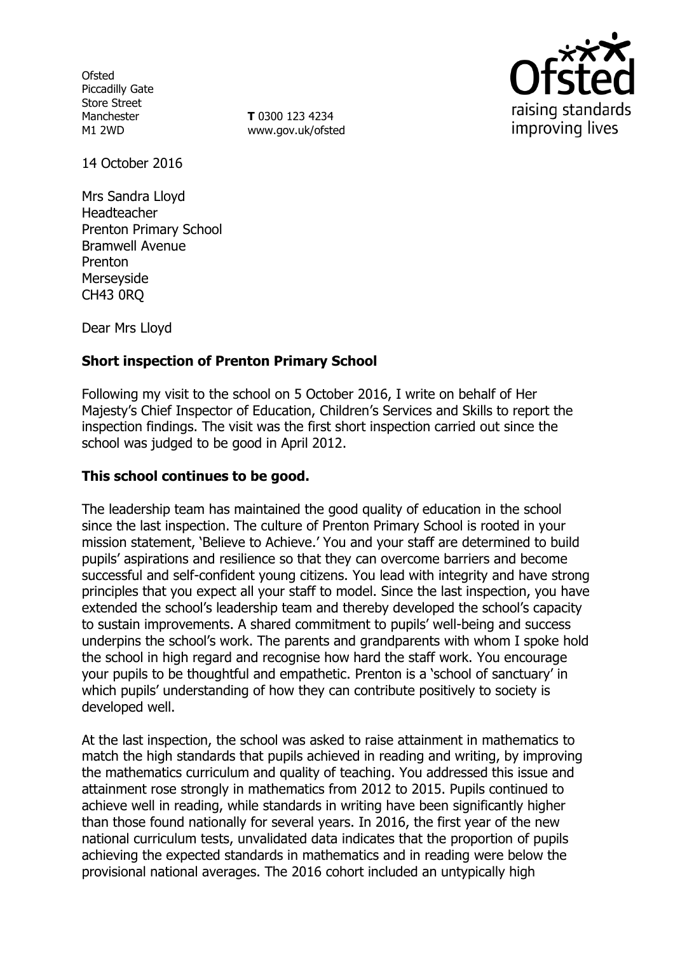**Ofsted** Piccadilly Gate Store Street Manchester M1 2WD

**T** 0300 123 4234 www.gov.uk/ofsted



14 October 2016

Mrs Sandra Lloyd Headteacher Prenton Primary School Bramwell Avenue Prenton Merseyside CH43 0RQ

Dear Mrs Lloyd

# **Short inspection of Prenton Primary School**

Following my visit to the school on 5 October 2016, I write on behalf of Her Majesty's Chief Inspector of Education, Children's Services and Skills to report the inspection findings. The visit was the first short inspection carried out since the school was judged to be good in April 2012.

## **This school continues to be good.**

The leadership team has maintained the good quality of education in the school since the last inspection. The culture of Prenton Primary School is rooted in your mission statement, 'Believe to Achieve.' You and your staff are determined to build pupils' aspirations and resilience so that they can overcome barriers and become successful and self-confident young citizens. You lead with integrity and have strong principles that you expect all your staff to model. Since the last inspection, you have extended the school's leadership team and thereby developed the school's capacity to sustain improvements. A shared commitment to pupils' well-being and success underpins the school's work. The parents and grandparents with whom I spoke hold the school in high regard and recognise how hard the staff work. You encourage your pupils to be thoughtful and empathetic. Prenton is a 'school of sanctuary' in which pupils' understanding of how they can contribute positively to society is developed well.

At the last inspection, the school was asked to raise attainment in mathematics to match the high standards that pupils achieved in reading and writing, by improving the mathematics curriculum and quality of teaching. You addressed this issue and attainment rose strongly in mathematics from 2012 to 2015. Pupils continued to achieve well in reading, while standards in writing have been significantly higher than those found nationally for several years. In 2016, the first year of the new national curriculum tests, unvalidated data indicates that the proportion of pupils achieving the expected standards in mathematics and in reading were below the provisional national averages. The 2016 cohort included an untypically high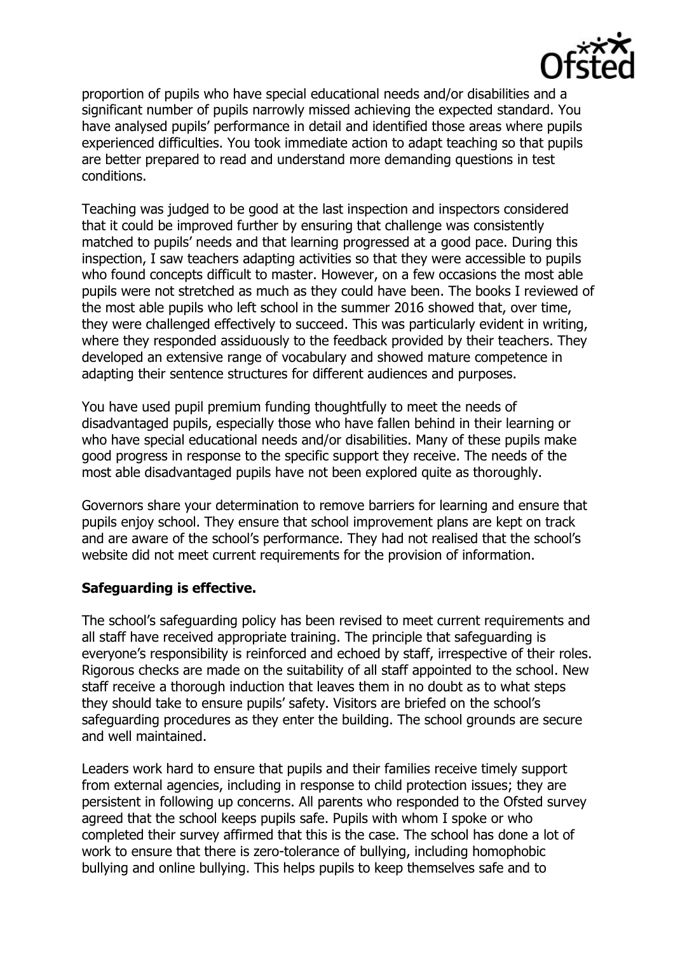

proportion of pupils who have special educational needs and/or disabilities and a significant number of pupils narrowly missed achieving the expected standard. You have analysed pupils' performance in detail and identified those areas where pupils experienced difficulties. You took immediate action to adapt teaching so that pupils are better prepared to read and understand more demanding questions in test conditions.

Teaching was judged to be good at the last inspection and inspectors considered that it could be improved further by ensuring that challenge was consistently matched to pupils' needs and that learning progressed at a good pace. During this inspection, I saw teachers adapting activities so that they were accessible to pupils who found concepts difficult to master. However, on a few occasions the most able pupils were not stretched as much as they could have been. The books I reviewed of the most able pupils who left school in the summer 2016 showed that, over time, they were challenged effectively to succeed. This was particularly evident in writing, where they responded assiduously to the feedback provided by their teachers. They developed an extensive range of vocabulary and showed mature competence in adapting their sentence structures for different audiences and purposes.

You have used pupil premium funding thoughtfully to meet the needs of disadvantaged pupils, especially those who have fallen behind in their learning or who have special educational needs and/or disabilities. Many of these pupils make good progress in response to the specific support they receive. The needs of the most able disadvantaged pupils have not been explored quite as thoroughly.

Governors share your determination to remove barriers for learning and ensure that pupils enjoy school. They ensure that school improvement plans are kept on track and are aware of the school's performance. They had not realised that the school's website did not meet current requirements for the provision of information.

# **Safeguarding is effective.**

The school's safeguarding policy has been revised to meet current requirements and all staff have received appropriate training. The principle that safeguarding is everyone's responsibility is reinforced and echoed by staff, irrespective of their roles. Rigorous checks are made on the suitability of all staff appointed to the school. New staff receive a thorough induction that leaves them in no doubt as to what steps they should take to ensure pupils' safety. Visitors are briefed on the school's safeguarding procedures as they enter the building. The school grounds are secure and well maintained.

Leaders work hard to ensure that pupils and their families receive timely support from external agencies, including in response to child protection issues; they are persistent in following up concerns. All parents who responded to the Ofsted survey agreed that the school keeps pupils safe. Pupils with whom I spoke or who completed their survey affirmed that this is the case. The school has done a lot of work to ensure that there is zero-tolerance of bullying, including homophobic bullying and online bullying. This helps pupils to keep themselves safe and to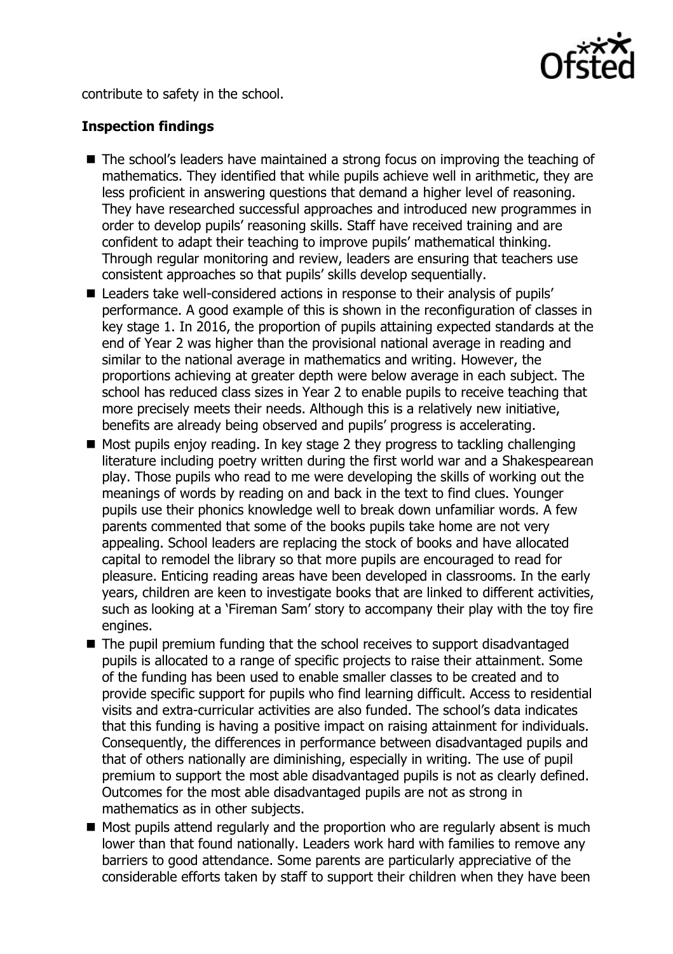

contribute to safety in the school.

# **Inspection findings**

- The school's leaders have maintained a strong focus on improving the teaching of mathematics. They identified that while pupils achieve well in arithmetic, they are less proficient in answering questions that demand a higher level of reasoning. They have researched successful approaches and introduced new programmes in order to develop pupils' reasoning skills. Staff have received training and are confident to adapt their teaching to improve pupils' mathematical thinking. Through regular monitoring and review, leaders are ensuring that teachers use consistent approaches so that pupils' skills develop sequentially.
- Leaders take well-considered actions in response to their analysis of pupils' performance. A good example of this is shown in the reconfiguration of classes in key stage 1. In 2016, the proportion of pupils attaining expected standards at the end of Year 2 was higher than the provisional national average in reading and similar to the national average in mathematics and writing. However, the proportions achieving at greater depth were below average in each subject. The school has reduced class sizes in Year 2 to enable pupils to receive teaching that more precisely meets their needs. Although this is a relatively new initiative, benefits are already being observed and pupils' progress is accelerating.
- $\blacksquare$  Most pupils enjoy reading. In key stage 2 they progress to tackling challenging literature including poetry written during the first world war and a Shakespearean play. Those pupils who read to me were developing the skills of working out the meanings of words by reading on and back in the text to find clues. Younger pupils use their phonics knowledge well to break down unfamiliar words. A few parents commented that some of the books pupils take home are not very appealing. School leaders are replacing the stock of books and have allocated capital to remodel the library so that more pupils are encouraged to read for pleasure. Enticing reading areas have been developed in classrooms. In the early years, children are keen to investigate books that are linked to different activities, such as looking at a 'Fireman Sam' story to accompany their play with the toy fire engines.
- The pupil premium funding that the school receives to support disadvantaged pupils is allocated to a range of specific projects to raise their attainment. Some of the funding has been used to enable smaller classes to be created and to provide specific support for pupils who find learning difficult. Access to residential visits and extra-curricular activities are also funded. The school's data indicates that this funding is having a positive impact on raising attainment for individuals. Consequently, the differences in performance between disadvantaged pupils and that of others nationally are diminishing, especially in writing. The use of pupil premium to support the most able disadvantaged pupils is not as clearly defined. Outcomes for the most able disadvantaged pupils are not as strong in mathematics as in other subjects.
- $\blacksquare$  Most pupils attend regularly and the proportion who are regularly absent is much lower than that found nationally. Leaders work hard with families to remove any barriers to good attendance. Some parents are particularly appreciative of the considerable efforts taken by staff to support their children when they have been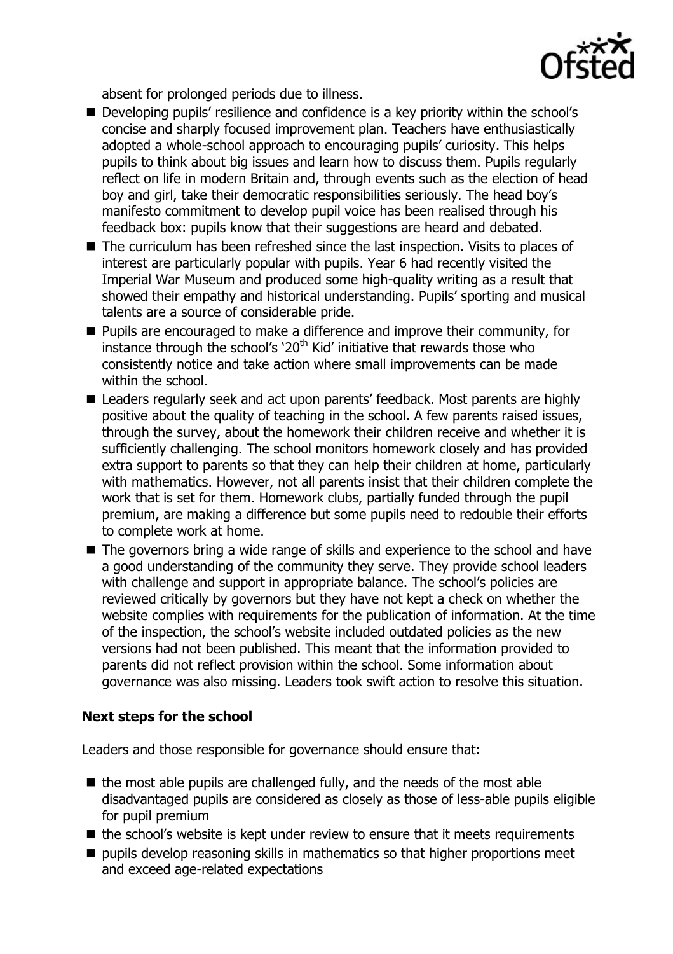

absent for prolonged periods due to illness.

- Developing pupils' resilience and confidence is a key priority within the school's concise and sharply focused improvement plan. Teachers have enthusiastically adopted a whole-school approach to encouraging pupils' curiosity. This helps pupils to think about big issues and learn how to discuss them. Pupils regularly reflect on life in modern Britain and, through events such as the election of head boy and girl, take their democratic responsibilities seriously. The head boy's manifesto commitment to develop pupil voice has been realised through his feedback box: pupils know that their suggestions are heard and debated.
- The curriculum has been refreshed since the last inspection. Visits to places of interest are particularly popular with pupils. Year 6 had recently visited the Imperial War Museum and produced some high-quality writing as a result that showed their empathy and historical understanding. Pupils' sporting and musical talents are a source of considerable pride.
- **Pupils are encouraged to make a difference and improve their community, for** instance through the school's '20<sup>th</sup> Kid' initiative that rewards those who consistently notice and take action where small improvements can be made within the school.
- Leaders regularly seek and act upon parents' feedback. Most parents are highly positive about the quality of teaching in the school. A few parents raised issues, through the survey, about the homework their children receive and whether it is sufficiently challenging. The school monitors homework closely and has provided extra support to parents so that they can help their children at home, particularly with mathematics. However, not all parents insist that their children complete the work that is set for them. Homework clubs, partially funded through the pupil premium, are making a difference but some pupils need to redouble their efforts to complete work at home.
- The governors bring a wide range of skills and experience to the school and have a good understanding of the community they serve. They provide school leaders with challenge and support in appropriate balance. The school's policies are reviewed critically by governors but they have not kept a check on whether the website complies with requirements for the publication of information. At the time of the inspection, the school's website included outdated policies as the new versions had not been published. This meant that the information provided to parents did not reflect provision within the school. Some information about governance was also missing. Leaders took swift action to resolve this situation.

# **Next steps for the school**

Leaders and those responsible for governance should ensure that:

- $\blacksquare$  the most able pupils are challenged fully, and the needs of the most able disadvantaged pupils are considered as closely as those of less-able pupils eligible for pupil premium
- $\blacksquare$  the school's website is kept under review to ensure that it meets requirements
- $\blacksquare$  pupils develop reasoning skills in mathematics so that higher proportions meet and exceed age-related expectations